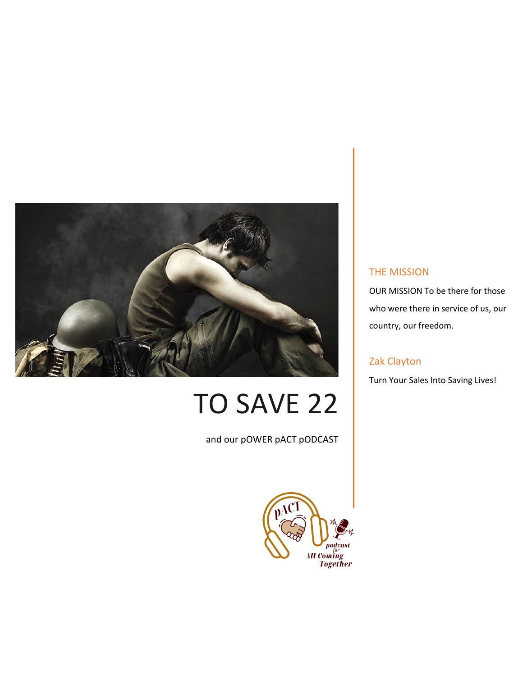

# TO SAVE 22

and our pOWER pACT pODCAST



#### THE MISSION

OUR MISSION To be there for those who were there in service of us, our country, our freedom.

#### Zak Clayton

Turn Your Sales Into Saving Lives!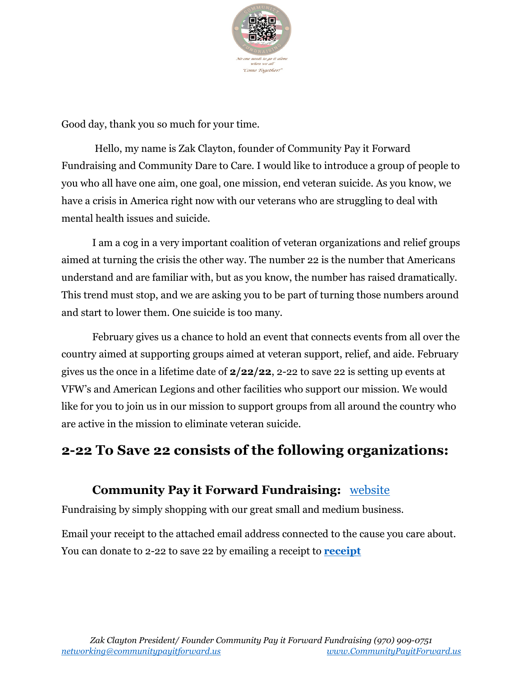

Good day, thank you so much for your time.

Hello, my name is Zak Clayton, founder of Community Pay it Forward Fundraising and Community Dare to Care. I would like to introduce a group of people to you who all have one aim, one goal, one mission, end veteran suicide. As you know, we have a crisis in America right now with our veterans who are struggling to deal with mental health issues and suicide.

I am a cog in a very important coalition of veteran organizations and relief groups aimed at turning the crisis the other way. The number 22 is the number that Americans understand and are familiar with, but as you know, the number has raised dramatically. This trend must stop, and we are asking you to be part of turning those numbers around and start to lower them. One suicide is too many.

February gives us a chance to hold an event that connects events from all over the country aimed at supporting groups aimed at veteran support, relief, and aide. February gives us the once in a lifetime date of **2/22/22**, 2-22 to save 22 is setting up events at VFW's and American Legions and other facilities who support our mission. We would like for you to join us in our mission to support groups from all around the country who are active in the mission to eliminate veteran suicide.

### **2-22 To Save 22 consists of the following organizations:**

### **Community Pay it Forward Fundraising:** website

Fundraising by simply shopping with our great small and medium business.

Email your receipt to the attached email address connected to the cause you care about. You can donate to 2-22 to save 22 by emailing a receipt to **[receipt](mailto:save22@communitypayitforward.us)**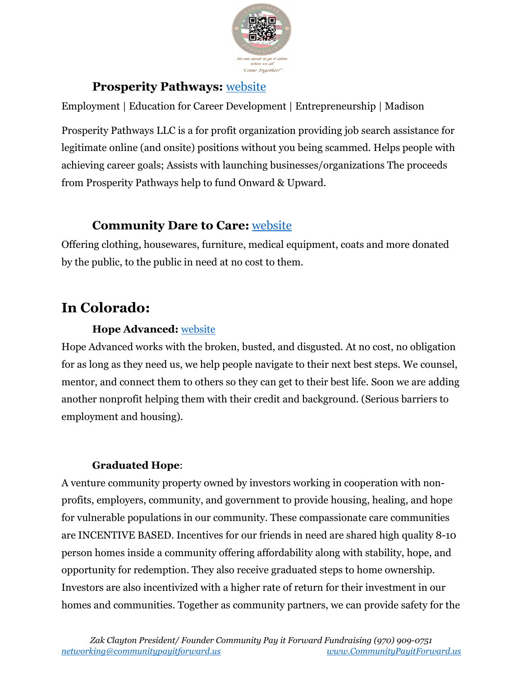

### **Prosperity Pathways:** website

Employment | Education for Career Development | Entrepreneurship | Madison

Prosperity Pathways LLC is a for profit organization providing job search assistance for legitimate online (and onsite) positions without you being scammed. Helps people with achieving career goals; Assists with launching businesses/organizations The proceeds from Prosperity Pathways help to fund Onward & Upward.

### **Community Dare to Care:** website

Offering clothing, housewares, furniture, medical equipment, coats and more donated by the public, to the public in need at no cost to them.

# **In Colorado:**

#### **Hope Advanced:** [website](https://yourhopeadvanced.com/)

Hope Advanced works with the broken, busted, and disgusted. At no cost, no obligation for as long as they need us, we help people navigate to their next best steps. We counsel, mentor, and connect them to others so they can get to their best life. Soon we are adding another nonprofit helping them with their credit and background. (Serious barriers to employment and housing).

#### **Graduated Hope**:

A venture community property owned by investors working in cooperation with nonprofits, employers, community, and government to provide housing, healing, and hope for vulnerable populations in our community. These compassionate care communities are INCENTIVE BASED. Incentives for our friends in need are shared high quality 8-10 person homes inside a community offering affordability along with stability, hope, and opportunity for redemption. They also receive graduated steps to home ownership. Investors are also incentivized with a higher rate of return for their investment in our homes and communities. Together as community partners, we can provide safety for the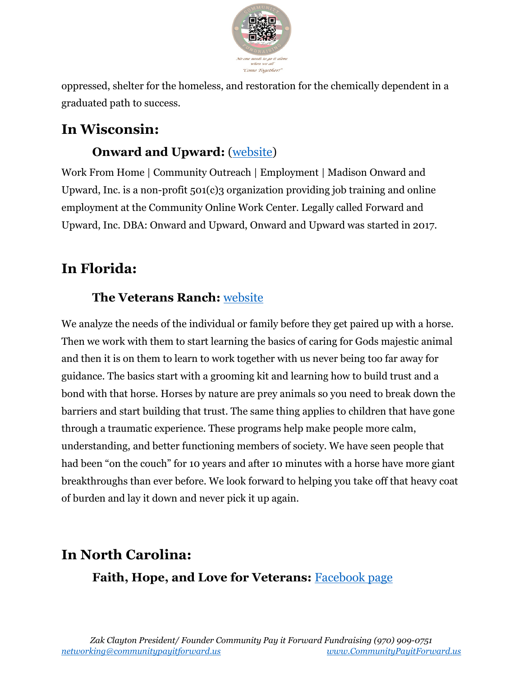

oppressed, shelter for the homeless, and restoration for the chemically dependent in a graduated path to success.

# **In Wisconsin:**

### **Onward and Upward:** (website)

Work From Home | Community Outreach | Employment | Madison Onward and Upward, Inc. is a non-profit 501(c)3 organization providing job training and online employment at the Community Online Work Center. Legally called Forward and Upward, Inc. DBA: Onward and Upward, Onward and Upward was started in 2017.

## **In Florida:**

### **The Veterans Ranch:** [website](https://www.theveteransranch.org/)

We analyze the needs of the individual or family before they get paired up with a horse. Then we work with them to start learning the basics of caring for Gods majestic animal and then it is on them to learn to work together with us never being too far away for guidance. The basics start with a grooming kit and learning how to build trust and a bond with that horse. Horses by nature are prey animals so you need to break down the barriers and start building that trust. The same thing applies to children that have gone through a traumatic experience. These programs help make people more calm, understanding, and better functioning members of society. We have seen people that had been "on the couch" for 10 years and after 10 minutes with a horse have more giant breakthroughs than ever before. We look forward to helping you take off that heavy coat of burden and lay it down and never pick it up again.

# **In North Carolina: Faith, Hope, and Love for Veterans:** [Facebook page](https://www.facebook.com/faithhopeloveforveterans/)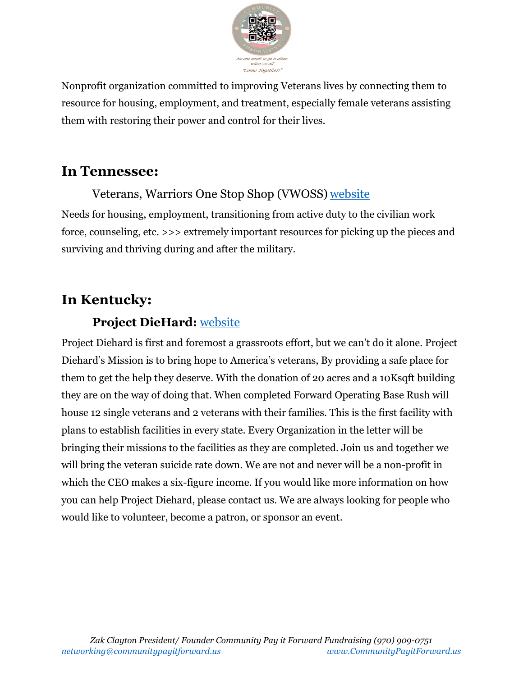

Nonprofit organization committed to improving Veterans lives by connecting them to resource for housing, employment, and treatment, especially female veterans assisting them with restoring their power and control for their lives.

### **In Tennessee:**

Veterans, Warriors One Stop Shop (VWOSS) [website](https://vwoss.com/) Needs for housing, employment, transitioning from active duty to the civilian work force, counseling, etc. >>> extremely important resources for picking up the pieces and surviving and thriving during and after the military.

### **In Kentucky:**

### **Project DieHard:** [website](https://projectdiehard.org/)

Project Diehard is first and foremost a grassroots effort, but we can't do it alone. Project Diehard's Mission is to bring hope to America's veterans, By providing a safe place for them to get the help they deserve. With the donation of 20 acres and a 10Ksqft building they are on the way of doing that. When completed Forward Operating Base Rush will house 12 single veterans and 2 veterans with their families. This is the first facility with plans to establish facilities in every state. Every Organization in the letter will be bringing their missions to the facilities as they are completed. Join us and together we will bring the veteran suicide rate down. We are not and never will be a non-profit in which the CEO makes a six-figure income. If you would like more information on how you can help Project Diehard, please contact us. We are always looking for people who would like to volunteer, become a patron, or sponsor an event.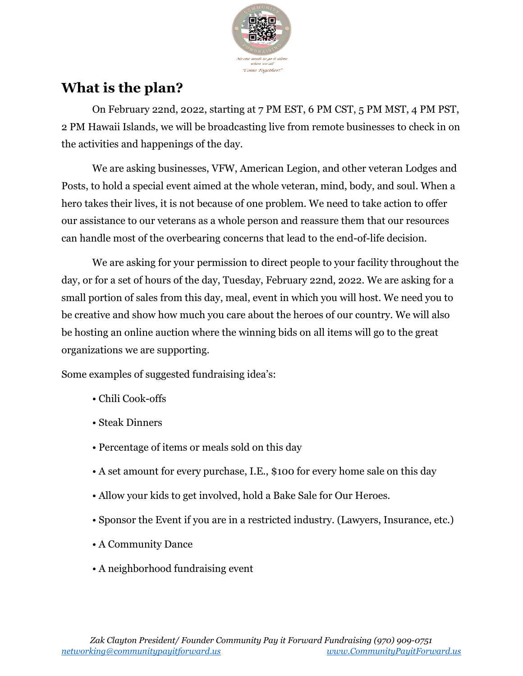

## **What is the plan?**

On February 22nd, 2022, starting at 7 PM EST, 6 PM CST, 5 PM MST, 4 PM PST, 2 PM Hawaii Islands, we will be broadcasting live from remote businesses to check in on the activities and happenings of the day.

We are asking businesses, VFW, American Legion, and other veteran Lodges and Posts, to hold a special event aimed at the whole veteran, mind, body, and soul. When a hero takes their lives, it is not because of one problem. We need to take action to offer our assistance to our veterans as a whole person and reassure them that our resources can handle most of the overbearing concerns that lead to the end-of-life decision.

We are asking for your permission to direct people to your facility throughout the day, or for a set of hours of the day, Tuesday, February 22nd, 2022. We are asking for a small portion of sales from this day, meal, event in which you will host. We need you to be creative and show how much you care about the heroes of our country. We will also be hosting an online auction where the winning bids on all items will go to the great organizations we are supporting.

Some examples of suggested fundraising idea's:

- Chili Cook-offs
- Steak Dinners
- Percentage of items or meals sold on this day
- A set amount for every purchase, I.E., \$100 for every home sale on this day
- Allow your kids to get involved, hold a Bake Sale for Our Heroes.
- Sponsor the Event if you are in a restricted industry. (Lawyers, Insurance, etc.)
- A Community Dance
- A neighborhood fundraising event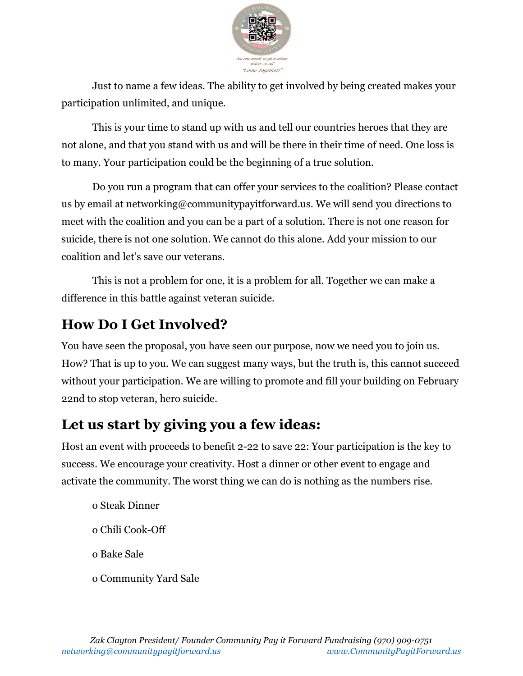

Just to name a few ideas. The ability to get involved by being created makes your participation unlimited, and unique.

This is your time to stand up with us and tell our countries heroes that they are not alone, and that you stand with us and will be there in their time of need. One loss is to many. Your participation could be the beginning of a true solution.

Do you run a program that can offer your services to the coalition? Please contact us by email at networking@communitypayitforward.us. We will send you directions to meet with the coalition and you can be a part of a solution. There is not one reason for suicide, there is not one solution. We cannot do this alone. Add your mission to our coalition and let's save our veterans.

This is not a problem for one, it is a problem for all. Together we can make a difference in this battle against veteran suicide.

## **How Do I Get Involved?**

You have seen the proposal, you have seen our purpose, now we need you to join us. How? That is up to you. We can suggest many ways, but the truth is, this cannot succeed without your participation. We are willing to promote and fill your building on February 22nd to stop veteran, hero suicide.

## **Let us start by giving you a few ideas:**

Host an event with proceeds to benefit 2-22 to save 22: Your participation is the key to success. We encourage your creativity. Host a dinner or other event to engage and activate the community. The worst thing we can do is nothing as the numbers rise.

- o Steak Dinner o Chili Cook-Off o Bake Sale
- o Community Yard Sale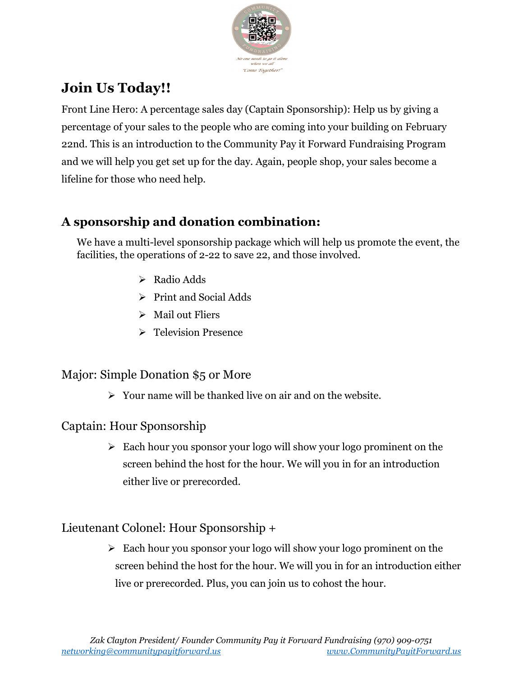

# **Join Us Today!!**

Front Line Hero: A percentage sales day (Captain Sponsorship): Help us by giving a percentage of your sales to the people who are coming into your building on February 22nd. This is an introduction to the Community Pay it Forward Fundraising Program and we will help you get set up for the day. Again, people shop, your sales become a lifeline for those who need help.

### **A sponsorship and donation combination:**

We have a multi-level sponsorship package which will help us promote the event, the facilities, the operations of 2-22 to save 22, and those involved.

- $\triangleright$  Radio Adds
- $\triangleright$  Print and Social Adds
- $\triangleright$  Mail out Fliers
- **► Television Presence**

### Major: Simple Donation \$5 or More

 $\triangleright$  Your name will be thanked live on air and on the website.

### Captain: Hour Sponsorship

 $\triangleright$  Each hour you sponsor your logo will show your logo prominent on the screen behind the host for the hour. We will you in for an introduction either live or prerecorded.

### Lieutenant Colonel: Hour Sponsorship +

 $\triangleright$  Each hour you sponsor your logo will show your logo prominent on the screen behind the host for the hour. We will you in for an introduction either live or prerecorded. Plus, you can join us to cohost the hour.